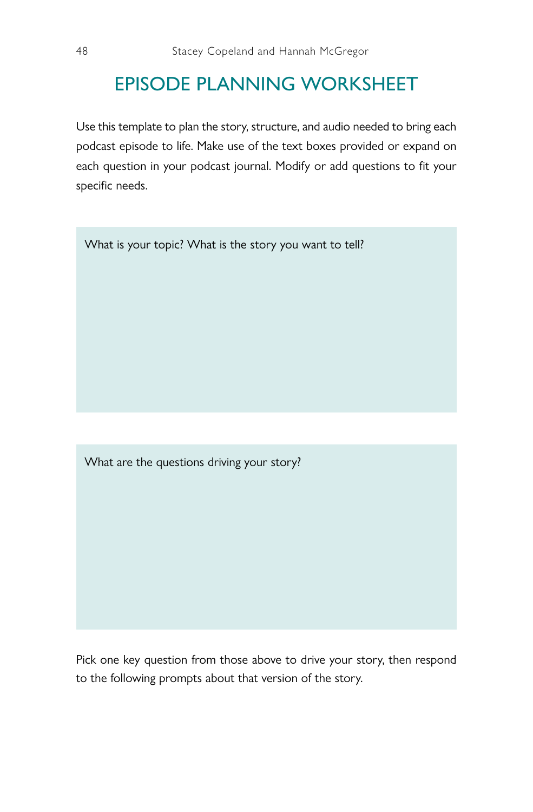## EPISODE PLANNING WORKSHEET

Use this template to plan the story, structure, and audio needed to bring each podcast episode to life. Make use of the text boxes provided or expand on each question in your podcast journal. Modify or add questions to fit your specific needs.

What is your topic? What is the story you want to tell?

What are the questions driving your story?

Pick one key question from those above to drive your story, then respond to the following prompts about that version of the story.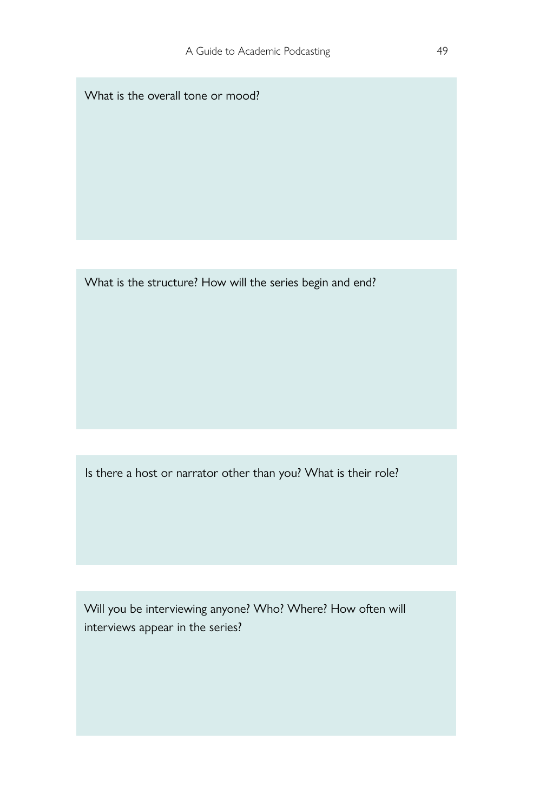What is the overall tone or mood?

What is the structure? How will the series begin and end?

Is there a host or narrator other than you? What is their role?

Will you be interviewing anyone? Who? Where? How often will interviews appear in the series?